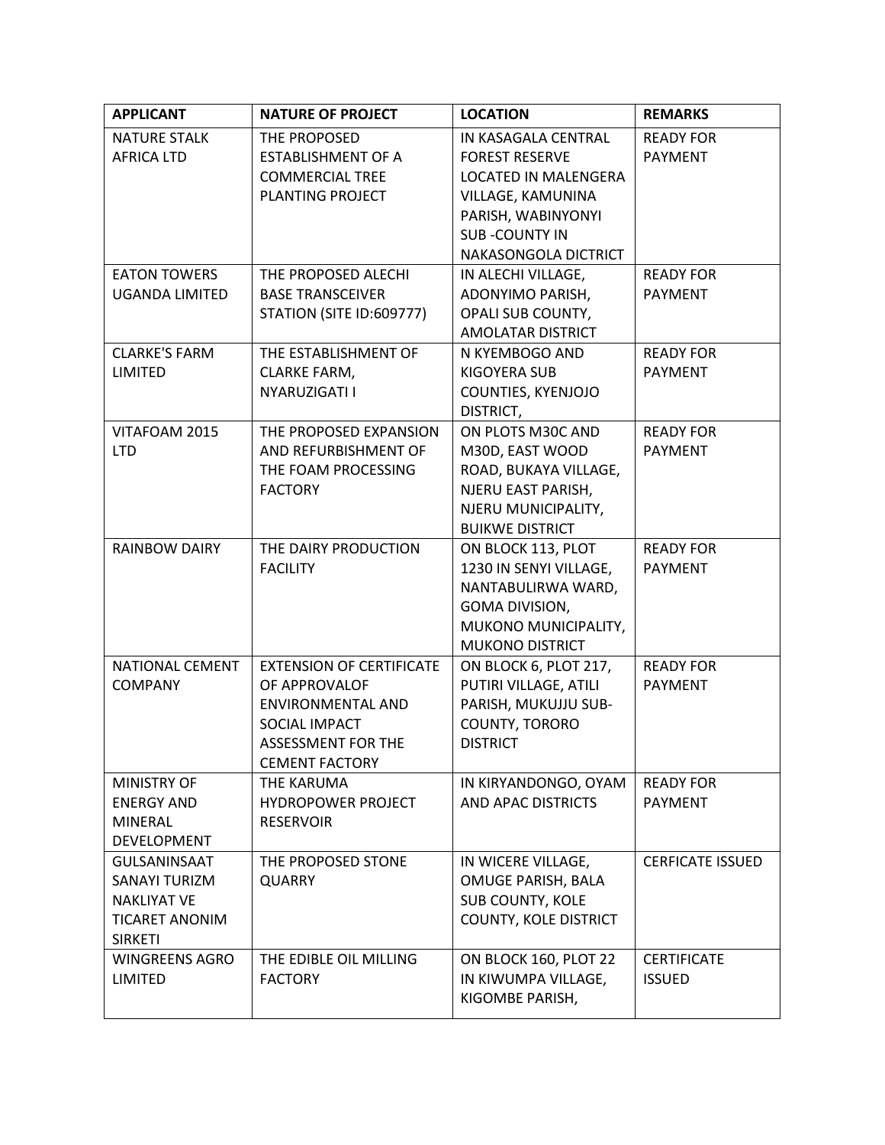| <b>APPLICANT</b>      | <b>NATURE OF PROJECT</b>                    | <b>LOCATION</b>                          | <b>REMARKS</b>          |
|-----------------------|---------------------------------------------|------------------------------------------|-------------------------|
| <b>NATURE STALK</b>   | THE PROPOSED                                | IN KASAGALA CENTRAL                      | <b>READY FOR</b>        |
| <b>AFRICA LTD</b>     | <b>ESTABLISHMENT OF A</b>                   | <b>FOREST RESERVE</b>                    | <b>PAYMENT</b>          |
|                       | <b>COMMERCIAL TREE</b>                      | <b>LOCATED IN MALENGERA</b>              |                         |
|                       | PLANTING PROJECT                            | VILLAGE, KAMUNINA                        |                         |
|                       |                                             | PARISH, WABINYONYI                       |                         |
|                       |                                             | <b>SUB-COUNTY IN</b>                     |                         |
|                       |                                             | NAKASONGOLA DICTRICT                     |                         |
| <b>EATON TOWERS</b>   | THE PROPOSED ALECHI                         | IN ALECHI VILLAGE,                       | <b>READY FOR</b>        |
| <b>UGANDA LIMITED</b> | <b>BASE TRANSCEIVER</b>                     | ADONYIMO PARISH,                         | <b>PAYMENT</b>          |
|                       | <b>STATION (SITE ID:609777)</b>             | OPALI SUB COUNTY,                        |                         |
| <b>CLARKE'S FARM</b>  |                                             | AMOLATAR DISTRICT                        | <b>READY FOR</b>        |
| <b>LIMITED</b>        | THE ESTABLISHMENT OF<br><b>CLARKE FARM,</b> | N KYEMBOGO AND<br><b>KIGOYERA SUB</b>    | <b>PAYMENT</b>          |
|                       | NYARUZIGATI I                               | COUNTIES, KYENJOJO                       |                         |
|                       |                                             | DISTRICT,                                |                         |
| VITAFOAM 2015         | THE PROPOSED EXPANSION                      | ON PLOTS M30C AND                        | <b>READY FOR</b>        |
| <b>LTD</b>            | AND REFURBISHMENT OF                        | M30D, EAST WOOD                          | <b>PAYMENT</b>          |
|                       | THE FOAM PROCESSING                         | ROAD, BUKAYA VILLAGE,                    |                         |
|                       | <b>FACTORY</b>                              | NJERU EAST PARISH,                       |                         |
|                       |                                             | NJERU MUNICIPALITY,                      |                         |
|                       |                                             | <b>BUIKWE DISTRICT</b>                   |                         |
| <b>RAINBOW DAIRY</b>  | THE DAIRY PRODUCTION                        | ON BLOCK 113, PLOT                       | <b>READY FOR</b>        |
|                       | <b>FACILITY</b>                             | 1230 IN SENYI VILLAGE,                   | <b>PAYMENT</b>          |
|                       |                                             | NANTABULIRWA WARD,                       |                         |
|                       |                                             | GOMA DIVISION,                           |                         |
|                       |                                             | MUKONO MUNICIPALITY,                     |                         |
|                       |                                             | <b>MUKONO DISTRICT</b>                   |                         |
| NATIONAL CEMENT       | <b>EXTENSION OF CERTIFICATE</b>             | ON BLOCK 6, PLOT 217,                    | <b>READY FOR</b>        |
| <b>COMPANY</b>        | OF APPROVALOF                               | PUTIRI VILLAGE, ATILI                    | <b>PAYMENT</b>          |
|                       | <b>ENVIRONMENTAL AND</b><br>SOCIAL IMPACT   | PARISH, MUKUJJU SUB-                     |                         |
|                       | <b>ASSESSMENT FOR THE</b>                   | <b>COUNTY, TORORO</b><br><b>DISTRICT</b> |                         |
|                       | <b>CEMENT FACTORY</b>                       |                                          |                         |
| <b>MINISTRY OF</b>    | THE KARUMA                                  | IN KIRYANDONGO, OYAM                     | <b>READY FOR</b>        |
| <b>ENERGY AND</b>     | <b>HYDROPOWER PROJECT</b>                   | AND APAC DISTRICTS                       | <b>PAYMENT</b>          |
| <b>MINERAL</b>        | <b>RESERVOIR</b>                            |                                          |                         |
| <b>DEVELOPMENT</b>    |                                             |                                          |                         |
| <b>GULSANINSAAT</b>   | THE PROPOSED STONE                          | IN WICERE VILLAGE,                       | <b>CERFICATE ISSUED</b> |
| <b>SANAYI TURIZM</b>  | <b>QUARRY</b>                               | OMUGE PARISH, BALA                       |                         |
| <b>NAKLIYAT VE</b>    |                                             | <b>SUB COUNTY, KOLE</b>                  |                         |
| <b>TICARET ANONIM</b> |                                             | <b>COUNTY, KOLE DISTRICT</b>             |                         |
| <b>SIRKETI</b>        |                                             |                                          |                         |
| <b>WINGREENS AGRO</b> | THE EDIBLE OIL MILLING                      | ON BLOCK 160, PLOT 22                    | <b>CERTIFICATE</b>      |
| <b>LIMITED</b>        | <b>FACTORY</b>                              | IN KIWUMPA VILLAGE,                      | <b>ISSUED</b>           |
|                       |                                             | KIGOMBE PARISH,                          |                         |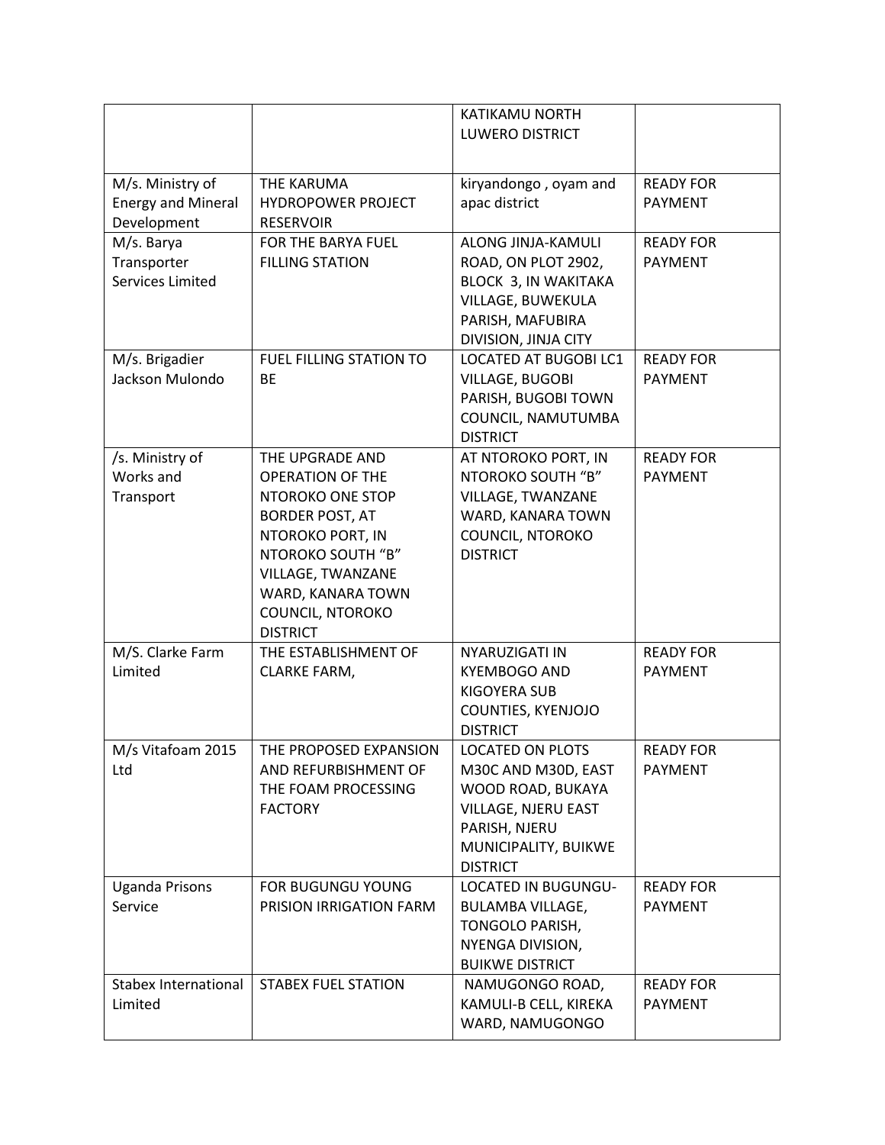|                                                              |                                                                                                                                                                                                                    | KATIKAMU NORTH<br><b>LUWERO DISTRICT</b>                                                                                                        |                                    |
|--------------------------------------------------------------|--------------------------------------------------------------------------------------------------------------------------------------------------------------------------------------------------------------------|-------------------------------------------------------------------------------------------------------------------------------------------------|------------------------------------|
| M/s. Ministry of<br><b>Energy and Mineral</b><br>Development | <b>THE KARUMA</b><br><b>HYDROPOWER PROJECT</b><br><b>RESERVOIR</b>                                                                                                                                                 | kiryandongo, oyam and<br>apac district                                                                                                          | <b>READY FOR</b><br><b>PAYMENT</b> |
| M/s. Barya<br>Transporter<br>Services Limited                | FOR THE BARYA FUEL<br><b>FILLING STATION</b>                                                                                                                                                                       | ALONG JINJA-KAMULI<br>ROAD, ON PLOT 2902,<br>BLOCK 3, IN WAKITAKA<br>VILLAGE, BUWEKULA<br>PARISH, MAFUBIRA<br>DIVISION, JINJA CITY              | <b>READY FOR</b><br>PAYMENT        |
| M/s. Brigadier<br>Jackson Mulondo                            | <b>FUEL FILLING STATION TO</b><br><b>BE</b>                                                                                                                                                                        | LOCATED AT BUGOBI LC1<br><b>VILLAGE, BUGOBI</b><br>PARISH, BUGOBI TOWN<br>COUNCIL, NAMUTUMBA<br><b>DISTRICT</b>                                 | <b>READY FOR</b><br><b>PAYMENT</b> |
| /s. Ministry of<br>Works and<br>Transport                    | THE UPGRADE AND<br><b>OPERATION OF THE</b><br>NTOROKO ONE STOP<br><b>BORDER POST, AT</b><br>NTOROKO PORT, IN<br>NTOROKO SOUTH "B"<br>VILLAGE, TWANZANE<br>WARD, KANARA TOWN<br>COUNCIL, NTOROKO<br><b>DISTRICT</b> | AT NTOROKO PORT, IN<br>NTOROKO SOUTH "B"<br>VILLAGE, TWANZANE<br>WARD, KANARA TOWN<br>COUNCIL, NTOROKO<br><b>DISTRICT</b>                       | <b>READY FOR</b><br><b>PAYMENT</b> |
| M/S. Clarke Farm<br>Limited                                  | THE ESTABLISHMENT OF<br><b>CLARKE FARM,</b>                                                                                                                                                                        | NYARUZIGATI IN<br><b>KYEMBOGO AND</b><br><b>KIGOYERA SUB</b><br>COUNTIES, KYENJOJO<br><b>DISTRICT</b>                                           | <b>READY FOR</b><br><b>PAYMENT</b> |
| M/s Vitafoam 2015<br>Ltd                                     | THE PROPOSED EXPANSION<br>AND REFURBISHMENT OF<br>THE FOAM PROCESSING<br><b>FACTORY</b>                                                                                                                            | LOCATED ON PLOTS<br>M30C AND M30D, EAST<br>WOOD ROAD, BUKAYA<br>VILLAGE, NJERU EAST<br>PARISH, NJERU<br>MUNICIPALITY, BUIKWE<br><b>DISTRICT</b> | <b>READY FOR</b><br>PAYMENT        |
| <b>Uganda Prisons</b><br>Service                             | FOR BUGUNGU YOUNG<br>PRISION IRRIGATION FARM                                                                                                                                                                       | LOCATED IN BUGUNGU-<br><b>BULAMBA VILLAGE,</b><br>TONGOLO PARISH,<br>NYENGA DIVISION,<br><b>BUIKWE DISTRICT</b>                                 | <b>READY FOR</b><br>PAYMENT        |
| <b>Stabex International</b><br>Limited                       | <b>STABEX FUEL STATION</b>                                                                                                                                                                                         | NAMUGONGO ROAD,<br>KAMULI-B CELL, KIREKA<br>WARD, NAMUGONGO                                                                                     | <b>READY FOR</b><br><b>PAYMENT</b> |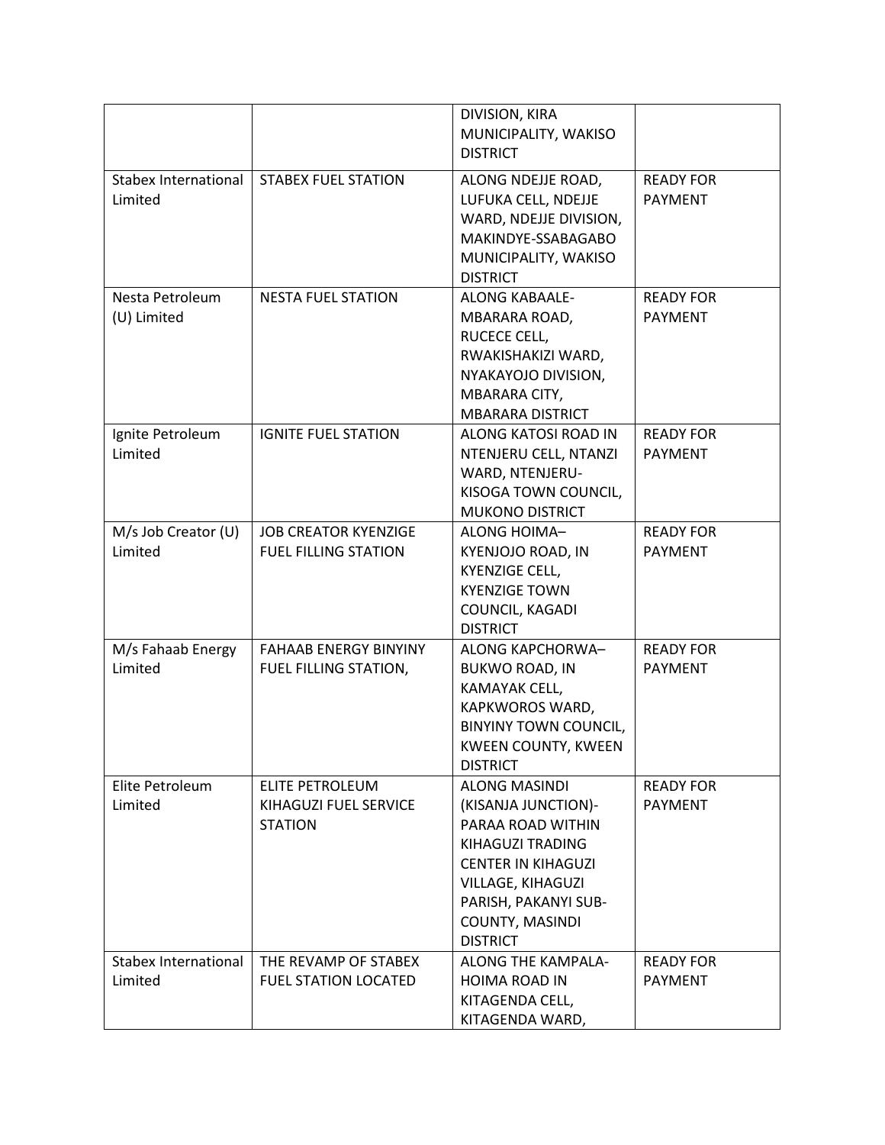|                                        |                                                            | DIVISION, KIRA<br>MUNICIPALITY, WAKISO<br><b>DISTRICT</b>                                                                                                                                                   |                                    |
|----------------------------------------|------------------------------------------------------------|-------------------------------------------------------------------------------------------------------------------------------------------------------------------------------------------------------------|------------------------------------|
| <b>Stabex International</b><br>Limited | <b>STABEX FUEL STATION</b>                                 | ALONG NDEJJE ROAD,<br>LUFUKA CELL, NDEJJE<br>WARD, NDEJJE DIVISION,<br>MAKINDYE-SSABAGABO<br>MUNICIPALITY, WAKISO<br><b>DISTRICT</b>                                                                        | <b>READY FOR</b><br><b>PAYMENT</b> |
| Nesta Petroleum<br>(U) Limited         | <b>NESTA FUEL STATION</b>                                  | <b>ALONG KABAALE-</b><br>MBARARA ROAD,<br>RUCECE CELL,<br>RWAKISHAKIZI WARD,<br>NYAKAYOJO DIVISION,<br>MBARARA CITY,<br><b>MBARARA DISTRICT</b>                                                             | <b>READY FOR</b><br><b>PAYMENT</b> |
| Ignite Petroleum<br>Limited            | <b>IGNITE FUEL STATION</b>                                 | ALONG KATOSI ROAD IN<br>NTENJERU CELL, NTANZI<br>WARD, NTENJERU-<br>KISOGA TOWN COUNCIL,<br><b>MUKONO DISTRICT</b>                                                                                          | <b>READY FOR</b><br><b>PAYMENT</b> |
| M/s Job Creator (U)<br>Limited         | <b>JOB CREATOR KYENZIGE</b><br><b>FUEL FILLING STATION</b> | <b>ALONG HOIMA-</b><br>KYENJOJO ROAD, IN<br><b>KYENZIGE CELL,</b><br><b>KYENZIGE TOWN</b><br>COUNCIL, KAGADI<br><b>DISTRICT</b>                                                                             | <b>READY FOR</b><br><b>PAYMENT</b> |
| M/s Fahaab Energy<br>Limited           | <b>FAHAAB ENERGY BINYINY</b><br>FUEL FILLING STATION,      | ALONG KAPCHORWA-<br><b>BUKWO ROAD, IN</b><br>KAMAYAK CELL,<br>KAPKWOROS WARD,<br><b>BINYINY TOWN COUNCIL,</b><br><b>KWEEN COUNTY, KWEEN</b><br><b>DISTRICT</b>                                              | <b>READY FOR</b><br><b>PAYMENT</b> |
| Elite Petroleum<br>Limited             | ELITE PETROLEUM<br>KIHAGUZI FUEL SERVICE<br><b>STATION</b> | <b>ALONG MASINDI</b><br>(KISANJA JUNCTION)-<br>PARAA ROAD WITHIN<br>KIHAGUZI TRADING<br><b>CENTER IN KIHAGUZI</b><br>VILLAGE, KIHAGUZI<br>PARISH, PAKANYI SUB-<br><b>COUNTY, MASINDI</b><br><b>DISTRICT</b> | <b>READY FOR</b><br><b>PAYMENT</b> |
| Stabex International<br>Limited        | THE REVAMP OF STABEX<br><b>FUEL STATION LOCATED</b>        | ALONG THE KAMPALA-<br><b>HOIMA ROAD IN</b><br>KITAGENDA CELL,<br>KITAGENDA WARD,                                                                                                                            | <b>READY FOR</b><br><b>PAYMENT</b> |